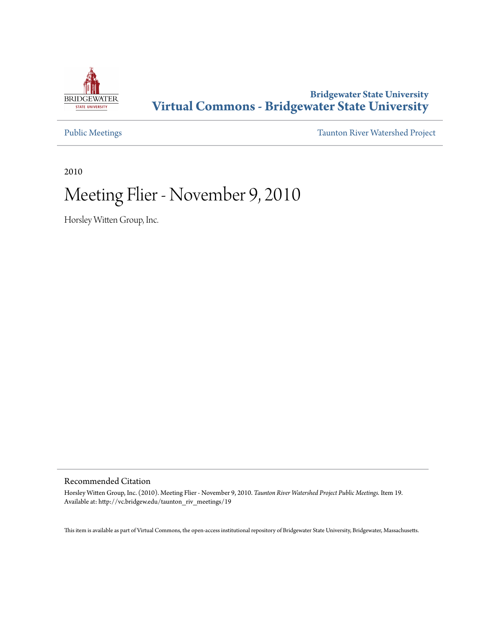

### **Bridgewater State University [Virtual Commons - Bridgewater State University](http://vc.bridgew.edu)**

[Public Meetings](http://vc.bridgew.edu/taunton_riv_meetings) [Taunton River Watershed Project](http://vc.bridgew.edu/taunton_riv)

2010

## Meeting Flier - November 9, 2010

Horsley Witten Group, Inc.

#### Recommended Citation

Horsley Witten Group, Inc. (2010). Meeting Flier - November 9, 2010. *Taunton River Watershed Project Public Meetings.* Item 19. Available at: http://vc.bridgew.edu/taunton\_riv\_meetings/19

This item is available as part of Virtual Commons, the open-access institutional repository of Bridgewater State University, Bridgewater, Massachusetts.